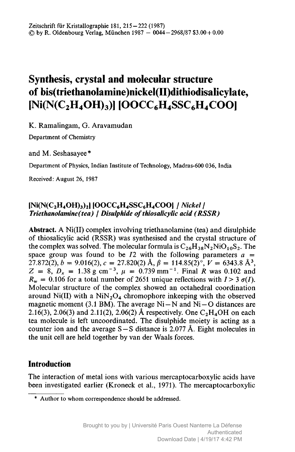# Synthesis, crystal and molecular structure of bis(triethanolamine)nickel(II)dithiodisalicylate,  $[Ni(N(C, H_4OH)_3)]$   $[OOCC_6H_4SSC_6H_4COOH]$

K. Ramalingam, G. Aravamudan

Department of Chemistry

and M. Seshasayee\*

Department of Physics, Indian Institute of Technology, Madras-600 036, India

Received: August 26, 1987

## $[Ni(N(C<sub>2</sub>H<sub>4</sub>OH)<sub>3</sub>)<sub>2</sub>] [OOCC<sub>6</sub>H<sub>4</sub>SSC<sub>6</sub>H<sub>4</sub>COO] / Nickel/$ Triethanolamine(tea) | Disulphide of thiosalicylic acid (RSSR)

Abstract. A Ni(II) complex involving triethanolamine (tea) and disulphide of thiosalicylic acid (RSSR) was synthesised and the crystal structure of the complex was solved. The molecular formula is  $C_{26}H_{38}N_2NiO_{10}S_2$ . The space group was found to be  $I2$  with the following parameters  $a =$  $27.872(2)$ ,  $b = 9.016(2)$ ,  $c = 27.820(2)$  Å,  $\beta = 114.85(2)$ °,  $V = 6343.8$  Å<sup>3</sup>,  $Z = 8$ ,  $D_x = 1.38$  g cm<sup>-3</sup>,  $\mu = 0.739$  mm<sup>-1</sup>. Final R was 0.102 and  $R_w = 0.106$  for a total number of 2651 unique reflections with  $I > 3 \sigma(I)$ . Molecular structure of the complex showed an octahedral coordination around Ni(II) with a  $NiN<sub>2</sub>O<sub>4</sub>$  chromophore inkeeping with the observed magnetic moment (3.1 BM). The average  $Ni - N$  and  $Ni - O$  distances are 2.16(3), 2.06(3) and 2.11(2), 2.06(2) Å respectively. One  $C_2H_4OH$  on each tea molecule is left uncoordinated. The disulphide moiety is acting as <sup>a</sup> counter ion and the average  $S - S$  distance is 2.077 Å. Eight molecules in the unit cell are held together by van der Waals forces.

# Introduction

The interaction of metal ions with various mercaptocarboxylic acids have been investigated earlier (Kroneck et al., 1971). The mercaptocarboxylic

<sup>\*</sup> Author to whom correspondence should be addressed.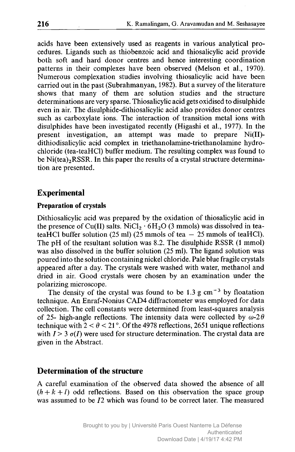acids have been extensively used as reagents in various analytical procedures. Ligands such as thiobenzoic acid and thiosalicylic acid provide both soft and hard donor centres and hence interesting coordination patterns in their complexes have been observed (Melson et al., 1970). Numerous complexation studies involving thiosalicylic acid have been carried out in the past (Subrahmanyan, 1982). But <sup>a</sup> survey of the literature shows that many of them are solution studies and the structure determinations are very sparse. Thiosalicylic acid gets oxidised to disulphide even in air. The disulphide-dithiosalicylic acid also provides donor centres such as carboxylate ions. The interaction of transition metal ions with disulphides have been investigated recently (Higashi et al., 1977). In the present investigation, an attempt was made to prepare Ni(II) dithiodisalicylic acid complex in triethanolamine-triethanolamine hydrochloride (tea-teaHCl) buffer medium. The resulting complex was found to be Ni(tea)<sub>2</sub>RSSR. In this paper the results of a crystal structure determination are presented.

### Experimental

#### Preparation of crystals

Dithiosalicylic acid was prepared by the oxidation of thiosalicylic acid in the presence of Cu(II) salts. NiCl<sub>2</sub>  $\cdot$  6H<sub>2</sub>O (3 mmols) was dissolved in teateaHCl buffer solution (25 ml) (25 mmols of tea <sup>25</sup> mmols of teaHCl). The pH of the resultant solution was 8.2. The disulphide RSSR (1 mmol) was also dissolved in the buffer solution (25 ml). The ligand solution was poured into the solution containing nickel chloride. Pale blue fragile crystals appeared after <sup>a</sup> day. The crystals were washed with water, methanol and dried in air. Good crystals were chosen by an examination under the polarizing microscope.

The density of the crystal was found to be  $1.3 \text{ g cm}^{-3}$  by floatation technique. An Enraf-Nonius CAD4 diffractometer was employed for data collection. The cell constants were determined from least-squares analysis of 25- high-angle reflections. The intensity data were collected by  $\omega$ -2 $\theta$ technique with  $2 < \theta < 21^{\circ}$ . Of the 4978 reflections, 2651 unique reflections with  $I > 3 \sigma(I)$  were used for structure determination. The crystal data are given in the Abstract.

# Determination of the structure

A careful examination of the observed data showed the absence of all  $(h + k + l)$  odd reflections. Based on this observation the space group was assumed to be 12 which was found to be correct later. The measured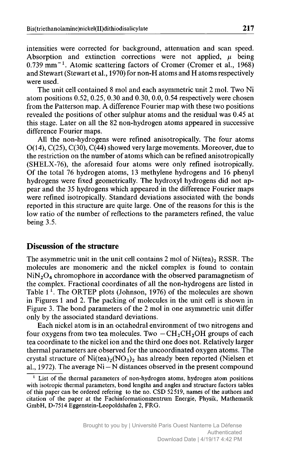intensities were corrected for background, attenuation and scan speed. Absorption and extinction corrections were not applied,  $\mu$  being 0.739 mm-1. Atomic scattering factors of Cromer (Cromer et al., 1968) and Stewart (Stewart et al., 1970) for non-H atoms and H atoms respectively were used.

The unit cell contained <sup>8</sup> mol and each asymmetric unit <sup>2</sup> mol. Two Ni atom positions 0.52, 0.25, 0.30 and 0.30, 0.0, 0.54 respectively were chosen from the Patterson map. A difference Fourier map with these two positions revealed the positions of other sulphur atoms and the residual was 0.45 at this stage. Later on all the <sup>82</sup> non-hydrogen atoms appeared in successive difference Fourier maps.

All the non-hydrogens were refined anisotropically. The four atoms 0(14), C(25), C(30), C(44) showed very large movements. Moreover, due to the restriction on the number of atoms which can be refined anisotropically (SHELX-76), the aforesaid four atoms were only refined isotropically. Of the total <sup>76</sup> hydrogen atoms, <sup>13</sup> methylene hydrogens and <sup>16</sup> phenyl hydrogens were fixed geometrically. The hydroxyl hydrogens did not appear and the <sup>35</sup> hydrogens which appeared in the difference Fourier maps were refined isotropically. Standard deviations associated with the bonds reported in this structure are quite large. One of the reasons for this is the low ratio of the number of reflections to the parameters refined, the value being 3.5.

## Discussion of the structure

The asymmetric unit in the unit cell contains 2 mol of  $Ni(tea)<sub>2</sub> RSSR$ . The molecules are monomeric and the nickel complex is found to contain  $NiN<sub>2</sub>O<sub>4</sub>$  chromophore in accordance with the observed paramagnetism of the complex. Fractional coordinates of all the non-hydrogens are listed in Table  $1^{\circ}$ . The ORTEP plots (Johnson, 1976) of the molecules are shown in Figures <sup>1</sup> and 2. The packing of molecules in the unit cell is shown in Figure 3. The bond parameters of the <sup>2</sup> mol in one asymmetric unit differ only by the associated standard deviations.

Each nickel atom is in an octahedral environment of two nitrogens and four oxygens from two tea molecules. Two  $-\text{CH}_2\text{CH}_2\text{OH}$  groups of each tea coordinate to the nickel ion and the third one does not. Relatively larger thermal parameters are observed for the uncoordinated oxygen atoms. The crystal structure of  $Ni(tea)_{2}(NO_{3})_{2}$  has already been reported (Nielsen et al., 1972). The average  $Ni - N$  distances observed in the present compound

<sup>1</sup> List of the thermal parameters of non-hydrogen atoms, hydrogen atom positions with isotropic thermal parameters, bond lengths and angles and structure factors tables of this paper can be ordered refering to the no. CSD 52519, names of the authors and citation of the paper at the Fachinformationszentrum Energie, Physik, Mathematik GmbH, D-7514 Eggenstein-Leopoldshafen 2, FRG.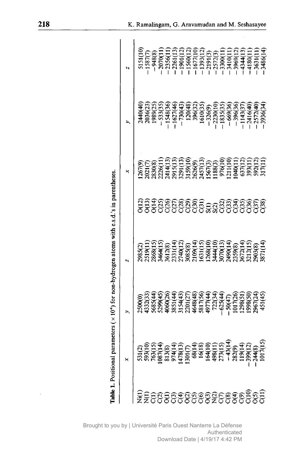|                              |                                         | <b>Table 1.</b> Positional parameters $(\times 10^4)$ for non-hydrogen atoms with e.s.d.'s in parentheses |                                                                                       |                                                                                                                                                                                                                                |                                                                                                                                                                                                                                                                                  |
|------------------------------|-----------------------------------------|-----------------------------------------------------------------------------------------------------------|---------------------------------------------------------------------------------------|--------------------------------------------------------------------------------------------------------------------------------------------------------------------------------------------------------------------------------|----------------------------------------------------------------------------------------------------------------------------------------------------------------------------------------------------------------------------------------------------------------------------------|
|                              |                                         |                                                                                                           |                                                                                       |                                                                                                                                                                                                                                |                                                                                                                                                                                                                                                                                  |
|                              |                                         |                                                                                                           |                                                                                       |                                                                                                                                                                                                                                |                                                                                                                                                                                                                                                                                  |
|                              | 531(2)<br>593(15)<br>763(14)<br>987(14) |                                                                                                           |                                                                                       |                                                                                                                                                                                                                                |                                                                                                                                                                                                                                                                                  |
|                              |                                         |                                                                                                           |                                                                                       |                                                                                                                                                                                                                                |                                                                                                                                                                                                                                                                                  |
|                              |                                         |                                                                                                           |                                                                                       |                                                                                                                                                                                                                                |                                                                                                                                                                                                                                                                                  |
|                              |                                         |                                                                                                           |                                                                                       |                                                                                                                                                                                                                                |                                                                                                                                                                                                                                                                                  |
|                              |                                         |                                                                                                           |                                                                                       |                                                                                                                                                                                                                                |                                                                                                                                                                                                                                                                                  |
|                              |                                         |                                                                                                           |                                                                                       |                                                                                                                                                                                                                                |                                                                                                                                                                                                                                                                                  |
|                              |                                         |                                                                                                           |                                                                                       |                                                                                                                                                                                                                                |                                                                                                                                                                                                                                                                                  |
|                              |                                         |                                                                                                           |                                                                                       |                                                                                                                                                                                                                                |                                                                                                                                                                                                                                                                                  |
|                              |                                         |                                                                                                           |                                                                                       |                                                                                                                                                                                                                                |                                                                                                                                                                                                                                                                                  |
|                              |                                         |                                                                                                           |                                                                                       |                                                                                                                                                                                                                                |                                                                                                                                                                                                                                                                                  |
|                              |                                         |                                                                                                           |                                                                                       |                                                                                                                                                                                                                                |                                                                                                                                                                                                                                                                                  |
|                              |                                         |                                                                                                           |                                                                                       |                                                                                                                                                                                                                                |                                                                                                                                                                                                                                                                                  |
|                              |                                         |                                                                                                           |                                                                                       |                                                                                                                                                                                                                                |                                                                                                                                                                                                                                                                                  |
|                              |                                         |                                                                                                           |                                                                                       |                                                                                                                                                                                                                                |                                                                                                                                                                                                                                                                                  |
|                              |                                         |                                                                                                           |                                                                                       |                                                                                                                                                                                                                                |                                                                                                                                                                                                                                                                                  |
|                              |                                         |                                                                                                           |                                                                                       |                                                                                                                                                                                                                                |                                                                                                                                                                                                                                                                                  |
| <u>ESSSSSSSSSSSSSSSSSSSS</u> |                                         |                                                                                                           | ອິອິຣິສິອິອິຣິລິອິອິອິຣິສິອິຣິ<br>ບໍ່ບໍ່ບໍ່ບໍ່ບໍ່ບໍ່ບໍ່ຂີ່ຂໍ້ນີ້ບໍ່ບໍ່ບໍ່ບໍ່ບໍ່ບໍ່ບໍ່ |                                                                                                                                                                                                                                |                                                                                                                                                                                                                                                                                  |
|                              |                                         |                                                                                                           |                                                                                       | $240(4)$ $298(25)$ $298(35)$ $298(35)$ $198(35)$ $198(35)$ $198(35)$ $198(35)$ $198(35)$ $198(35)$ $198(35)$ $198(35)$ $198(35)$ $198(35)$ $198(35)$ $198(35)$ $198(35)$ $198(35)$ $198(35)$ $198(35)$ $198(35)$ $198(35)$ $1$ | $\begin{array}{r} 5151(10)\\ 5187(7)\\ -1587(7)\\ -248(8)\\ -2070(11)\\ -2070(11)\\ -1256(12)\\ -1256(12)\\ -1590(11)\\ -1590(11)\\ -1590(11)\\ -1590(11)\\ -1590(11)\\ -1590(11)\\ -1590(11)\\ -1590(11)\\ -1590(11)\\ -1590(11)\\ -1590(11)\\ -1590(11)\\ -1590(11)\\ -1590(1$ |

Brought to you by | Université Paris Ouest Nanterre La Défense Authenticated Download Date | 4/19/17 4:42 PM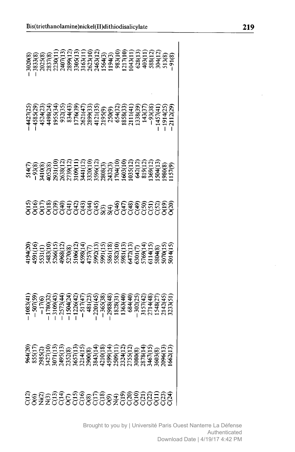| <u>assage essessage gage al</u> | $\begin{smallmatrix} 964(2)\\ 85(1)\\ 23(2)\\ 38(3)\\ 39(2)\\ 49(1)\\ 51(2)\\ 65(1)\\ 65(1)\\ 7(1)\\ 8(2)\\ 8(3)\\ 8(3)\\ 8(4)\\ 14(1)\\ 20(2)\\ 8(3)\\ 8(4)\\ 11(1)\\ 12(1)\\ 13(1)\\ 14(1)\\ 15(2)\\ 16(2)\\ 17(2)\\ 18(2)\\ 19(2)\\ 10(2)\\ 10(2)\\ 10(2)\\ 11(2)\\ 10$ |  |                                        |  |  |
|---------------------------------|----------------------------------------------------------------------------------------------------------------------------------------------------------------------------------------------------------------------------------------------------------------------------|--|----------------------------------------|--|--|
|                                 |                                                                                                                                                                                                                                                                            |  |                                        |  |  |
|                                 |                                                                                                                                                                                                                                                                            |  |                                        |  |  |
|                                 |                                                                                                                                                                                                                                                                            |  |                                        |  |  |
|                                 |                                                                                                                                                                                                                                                                            |  |                                        |  |  |
|                                 |                                                                                                                                                                                                                                                                            |  |                                        |  |  |
|                                 |                                                                                                                                                                                                                                                                            |  |                                        |  |  |
|                                 |                                                                                                                                                                                                                                                                            |  |                                        |  |  |
|                                 |                                                                                                                                                                                                                                                                            |  |                                        |  |  |
|                                 |                                                                                                                                                                                                                                                                            |  |                                        |  |  |
|                                 |                                                                                                                                                                                                                                                                            |  |                                        |  |  |
|                                 |                                                                                                                                                                                                                                                                            |  |                                        |  |  |
|                                 |                                                                                                                                                                                                                                                                            |  |                                        |  |  |
|                                 |                                                                                                                                                                                                                                                                            |  |                                        |  |  |
|                                 |                                                                                                                                                                                                                                                                            |  |                                        |  |  |
|                                 |                                                                                                                                                                                                                                                                            |  |                                        |  |  |
|                                 |                                                                                                                                                                                                                                                                            |  |                                        |  |  |
|                                 |                                                                                                                                                                                                                                                                            |  |                                        |  |  |
|                                 |                                                                                                                                                                                                                                                                            |  |                                        |  |  |
|                                 |                                                                                                                                                                                                                                                                            |  |                                        |  |  |
|                                 |                                                                                                                                                                                                                                                                            |  |                                        |  |  |
|                                 |                                                                                                                                                                                                                                                                            |  | SSESSSFRGTS.<br>SSSSSSSSSSSSSSSSSSSSSS |  |  |
|                                 |                                                                                                                                                                                                                                                                            |  |                                        |  |  |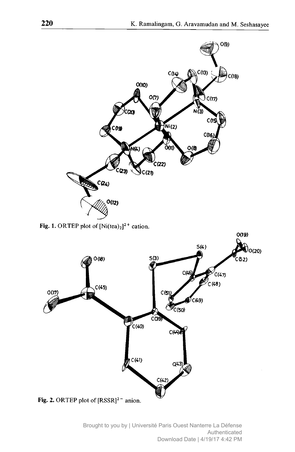

Fig. 1. ORTEP plot of  $[Ni(tea)_2]^2$ <sup>+</sup> cation.

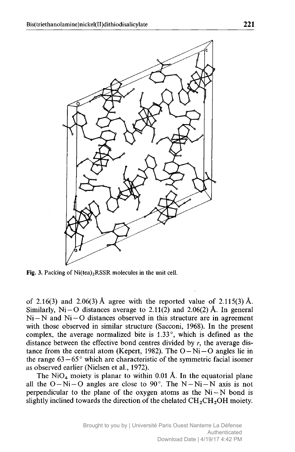

Fig. 3. Packing of  $Ni(tea)<sub>2</sub>RSSR$  molecules in the unit cell.

of 2.16(3) and 2.06(3) Å agree with the reported value of  $2.115(3)$  Å. Similarly,  $Ni-O$  distances average to 2.11(2) and 2.06(2) Å. In general  $Ni-N$  and  $Ni-O$  distances observed in this structure are in agreement with those observed in similar structure (Sacconi, 1968). In the present complex, the average normalized bite is 1.33°, which is defined as the distance between the effective bond centres divided by  $r$ , the average distance from the central atom (Kepert, 1982). The  $O-Ni-O$  angles lie in the range  $63-65^{\circ}$  which are characteristic of the symmetric facial isomer — as observed earlier (Nielsen et al., 1972).

The  $NiO<sub>4</sub>$  moiety is planar to within 0.01 Å. In the equatorial plane all the  $O-Ni-O$  angles are close to 90°. The  $N-Ni-N$  axis is not perpendicular to the plane of the oxygen atoms as the  $Ni-N$  bond is slightly inclined towards the direction of the chelated  $\text{CH}_2\text{CH}_2\text{OH}$  moiety.